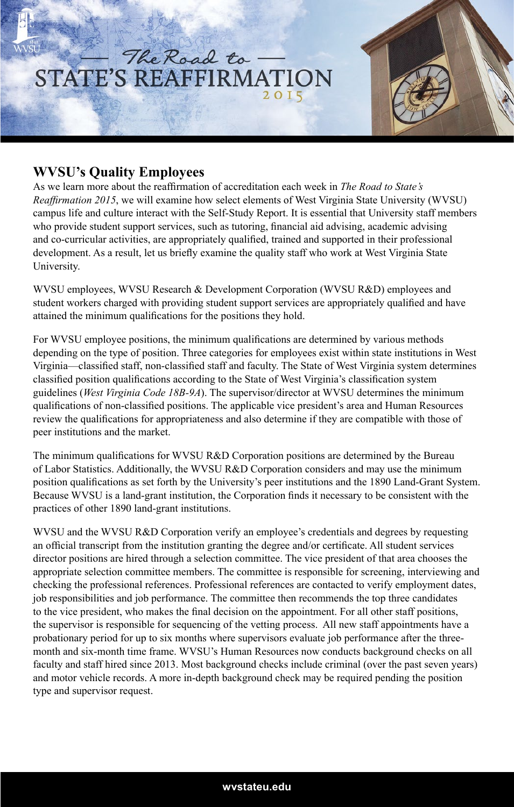

## **WVSU's Quality Employees**

As we learn more about the reaffirmation of accreditation each week in *The Road to State's Reaffirmation 2015*, we will examine how select elements of West Virginia State University (WVSU) campus life and culture interact with the Self-Study Report. It is essential that University staff members who provide student support services, such as tutoring, financial aid advising, academic advising and co-curricular activities, are appropriately qualified, trained and supported in their professional development. As a result, let us briefly examine the quality staff who work at West Virginia State University.

WVSU employees, WVSU Research & Development Corporation (WVSU R&D) employees and student workers charged with providing student support services are appropriately qualified and have attained the minimum qualifications for the positions they hold.

For WVSU employee positions, the minimum qualifications are determined by various methods depending on the type of position. Three categories for employees exist within state institutions in West Virginia—classified staff, non-classified staff and faculty. The State of West Virginia system determines classified position qualifications according to the State of West Virginia's classification system guidelines (*West Virginia Code 18B-9A*). The supervisor/director at WVSU determines the minimum qualifications of non-classified positions. The applicable vice president's area and Human Resources review the qualifications for appropriateness and also determine if they are compatible with those of peer institutions and the market.

The minimum qualifications for WVSU R&D Corporation positions are determined by the Bureau of Labor Statistics. Additionally, the WVSU R&D Corporation considers and may use the minimum position qualifications as set forth by the University's peer institutions and the 1890 Land-Grant System. Because WVSU is a land-grant institution, the Corporation finds it necessary to be consistent with the practices of other 1890 land-grant institutions.

WVSU and the WVSU R&D Corporation verify an employee's credentials and degrees by requesting an official transcript from the institution granting the degree and/or certificate. All student services director positions are hired through a selection committee. The vice president of that area chooses the appropriate selection committee members. The committee is responsible for screening, interviewing and checking the professional references. Professional references are contacted to verify employment dates, job responsibilities and job performance. The committee then recommends the top three candidates to the vice president, who makes the final decision on the appointment. For all other staff positions, the supervisor is responsible for sequencing of the vetting process. All new staff appointments have a probationary period for up to six months where supervisors evaluate job performance after the threemonth and six-month time frame. WVSU's Human Resources now conducts background checks on all faculty and staff hired since 2013. Most background checks include criminal (over the past seven years) and motor vehicle records. A more in-depth background check may be required pending the position type and supervisor request.